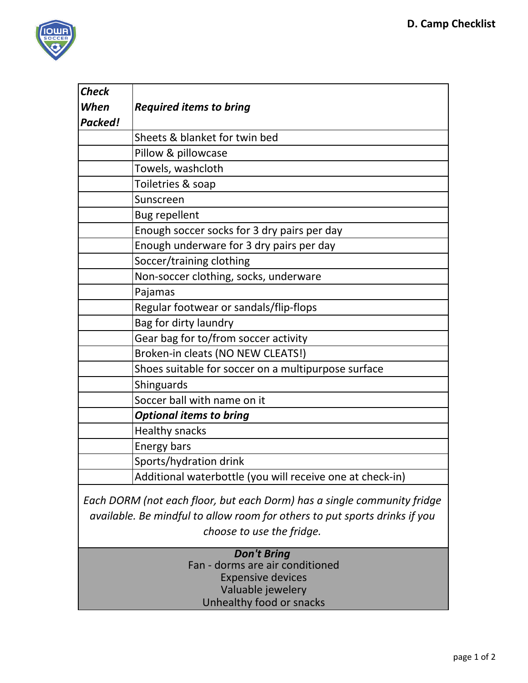

| <b>Check</b>                                                               |                                                             |
|----------------------------------------------------------------------------|-------------------------------------------------------------|
| When                                                                       | <b>Required items to bring</b>                              |
| <b>Packed!</b>                                                             |                                                             |
|                                                                            | Sheets & blanket for twin bed                               |
|                                                                            | Pillow & pillowcase                                         |
|                                                                            | Towels, washcloth                                           |
|                                                                            | Toiletries & soap                                           |
|                                                                            | Sunscreen                                                   |
|                                                                            | <b>Bug repellent</b>                                        |
|                                                                            | Enough soccer socks for 3 dry pairs per day                 |
|                                                                            | Enough underware for 3 dry pairs per day                    |
|                                                                            | Soccer/training clothing                                    |
|                                                                            | Non-soccer clothing, socks, underware                       |
|                                                                            | Pajamas                                                     |
|                                                                            | Regular footwear or sandals/flip-flops                      |
|                                                                            | Bag for dirty laundry                                       |
|                                                                            | Gear bag for to/from soccer activity                        |
|                                                                            | Broken-in cleats (NO NEW CLEATS!)                           |
|                                                                            | Shoes suitable for soccer on a multipurpose surface         |
|                                                                            | Shinguards                                                  |
|                                                                            | Soccer ball with name on it                                 |
|                                                                            | <b>Optional items to bring</b>                              |
|                                                                            | <b>Healthy snacks</b>                                       |
|                                                                            | <b>Energy bars</b>                                          |
|                                                                            | Sports/hydration drink                                      |
|                                                                            | Additional waterbottle (you will receive one at check-in)   |
| Each DORM (not each floor, but each Dorm) has a single community fridge    |                                                             |
| available. Be mindful to allow room for others to put sports drinks if you |                                                             |
| choose to use the fridge.                                                  |                                                             |
| <b>Don't Bring</b>                                                         |                                                             |
|                                                                            | Fan - dorms are air conditioned<br><b>Expensive devices</b> |
|                                                                            | Valuable jewelery                                           |
|                                                                            | Unhealthy food or snacks                                    |